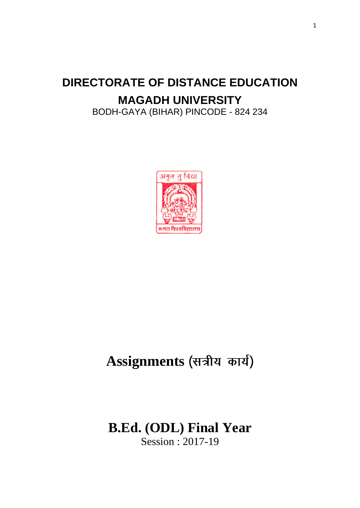# **DIRECTORATE OF DISTANCE EDUCATION MAGADH UNIVERSITY**

BODH-GAYA (BIHAR) PINCODE - 824 234



# Assignments (सत्रीय कार्य)

# **B.Ed. (ODL) Final Year** Session : 2017-19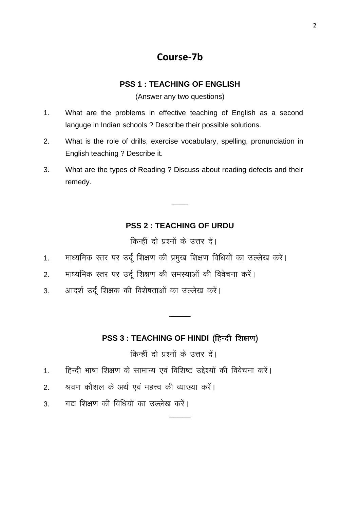### **Course-7b**

### **PSS 1 : TEACHING OF ENGLISH**

(Answer any two questions)

- 1. What are the problems in effective teaching of English as a second languge in Indian schools ? Describe their possible solutions.
- 2. What is the role of drills, exercise vocabulary, spelling, pronunciation in English teaching ? Describe it.
- 3. What are the types of Reading ? Discuss about reading defects and their remedy.

### **PSS 2 : TEACHING OF URDU**

 $\overline{\phantom{a}}$ 

किन्हीं दो प्रश्नों के उत्तर दें।

- 1. माध्यमिक स्तर पर उर्दू शिक्षण की प्रमुख शिक्षण विधियों का उल्लेख करें।
- 2. माध्यमिक स्तर पर उर्दू शिक्षण की समस्याओं की विवेचना करें।
- 3. अादर्श उर्दू शिक्षक की विशेषताओं का उल्लेख करें।

### **PSS 3 : TEACHING OF HINDI**

 $\overline{\phantom{a}}$ 

 $\overline{\phantom{a}}$ 

किन्हीं दो पश्नों के उत्तर दें।

- 1. हिन्दी भाषा शिक्षण के सामान्य एवं विशिष्ट उद्देश्यों की विवेचना करें।
- 2. श्रवण कौशल के अर्थ एवं महत्त्व की व्याख्या करें।
- 3. मद्य शिक्षण की विधियों का उल्लेख करें।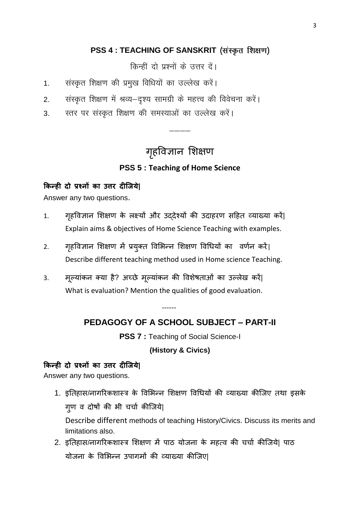### **PSS 4 : TEACHING OF SANSKRIT**

किन्हीं दो प्रश्नों के उत्तर दें।

- 1. संस्कृत शिक्षण की प्रमुख विधियों का उल्लेख करें।
- 2. संस्कृत शिक्षण में श्रव्य–दृश्य सामग्री के महत्त्व की विवेचना करें।
- 3. स्तर पर संस्कृत शिक्षण की समस्याओं का उल्लेख करें।

## गृहविज्ञान शिक्षण

 $-\cdots$ 

### **PSS 5 : Teaching of Home Science**

### **किन्ही दो प्रश्नों िा उत्तर दीजिये|**

Answer any two questions.

- 1. गहविज्ञान शिक्षण के लक्ष्यों और उददेश्यों की उदाहरण सहित व्याख्या करें| Explain aims & objectives of Home Science Teaching with examples.
- 2. गृहविज्ञान शिक्षण में प्रयुक्त विभिन्न शिक्षण विधियों का वर्णन करें| Describe different teaching method used in Home science Teaching.
- 3. भूलमाांकन तमा है? अच्छे भूलमाांकन की वििेषताओां का उलरेख कयें| What is evaluation? Mention the qualities of good evaluation.

------

### **PEDAGOGY OF A SCHOOL SUBJECT – PART-II**

**PSS 7 :** Teaching of Social Science-I

**(History & Civics)**

### **किन्ही दो प्रश्नों िा उत्तर दीजिये|**

Answer any two questions.

- 1. इतिहास/नागरिकशास्त्र के विभिन्न शिक्षण विधियों की व्याख्या कीजिए तथा इसके ग्ण व दोषों की भी चर्चा कीजिये| Describe different methods of teaching History/Civics. Discuss its merits and limitations also.
- 2. इतिहास/नागरिकशास्त्र शिक्षण में पाठ योजना के महत्व की चर्चा कीजिये| पाठ योजना के विभिन्न उपागमों की व्याख्या कीजिए|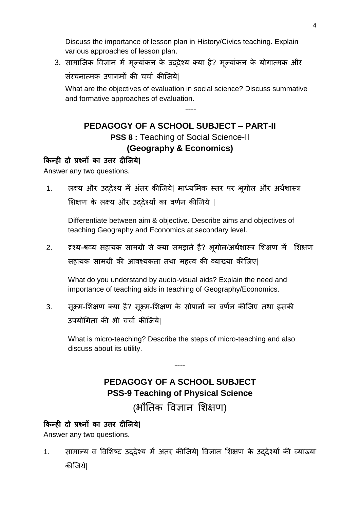Discuss the importance of lesson plan in History/Civics teaching. Explain various approaches of lesson plan.

3. सामाजिक विज्ञान में मूल्यांकन के उददेश्य क्या है? मूल्यांकन के योगात्मक और

संरचनात्मक उपागमों की चर्चा कीजिये|

What are the objectives of evaluation in social science? Discuss summative and formative approaches of evaluation.

----

### **PEDAGOGY OF A SCHOOL SUBJECT – PART-II PSS 8** : Teaching of Social Science-II **(Geography & Economics)**

### **किन्ही दो प्रश्नों िा उत्तर दीजिये|**

Answer any two questions.

1. त्वस्य और उददेश्य में अंतर कीजिये| माध्यमिक स्तर पर भुगोल और अर्थशास्त्र शिक्षण के लक्ष्य और उददेश्यों का वर्णन कीजिये |

Differentiate between aim & objective. Describe aims and objectives of teaching Geography and Economics at secondary level.

2. दृश्य-श्रव्य सहायक सामग्री से क्या समझते है? भूगोल/अर्थशास्त्र शिक्षण में शिक्षण सहायक सामग्री की आवश्यकता तथा महत्त्व की व्याख्या कीजिए|

What do you understand by audio-visual aids? Explain the need and importance of teaching aids in teaching of Geography/Economics.

3. सूक्ष्म-शिक्षण क्या है? सूक्ष्म-शिक्षण के सोपानों का वर्णन कीजिए तथा इसकी उपयोगिता की भी चर्चा कीजिये।

What is micro-teaching? Describe the steps of micro-teaching and also discuss about its utility.

### **PEDAGOGY OF A SCHOOL SUBJECT PSS-9 Teaching of Physical Science**

----

(भौतिक विज्ञान शिक्षण)

### **किन्ही दो प्रश्नों िा उत्तर दीजिये|**

Answer any two questions.

1. सामान्य व विशिष्ट उददेश्य में अंतर कीजिये| विज्ञान शिक्षण के उददेश्यों की व्याख्या कीजिये।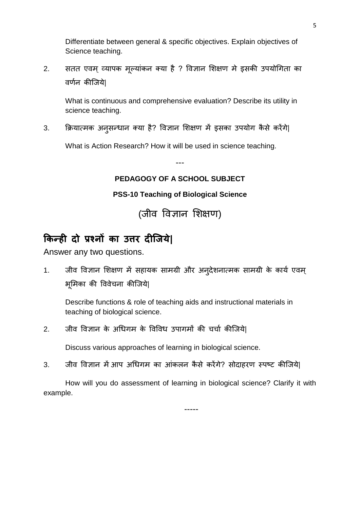Differentiate between general & specific objectives. Explain objectives of Science teaching.

2. सतत एवम् व्यापक मूल्यांकन क्या है ? विज्ञान शिक्षण मे इसकी उपयोगिता का वर्णन कीजिये।

What is continuous and comprehensive evaluation? Describe its utility in science teaching.

3. क्रियात्मक अनुसन्धान क्या है? विज्ञान शिक्षण में इसका उपयोग कैसे करेंगे|

What is Action Research? How it will be used in science teaching.

---

### **PEDAGOGY OF A SCHOOL SUBJECT**

### **PSS-10 Teaching of Biological Science**

(जीव विज्ञान शिक्षण)

# **किन्ही दो प्रश्नों िा उत्तर दीजिये|**

Answer any two questions.

1. जीव विज्ञान शिक्षण में सहायक सामग्री और अन्**देशनात्मक सामग्री के कार्य एवम्** भूमिका की विवेचना कीजिये|

Describe functions & role of teaching aids and instructional materials in teaching of biological science.

2. जीव विज्ञान के अधिगम के विविध उपागमों की चर्चा कीजिये|

Discuss various approaches of learning in biological science.

3. जीव विज्ञान में आप अधिगम का आंकलन कैसे करेंगे? सोदाहरण स्पष्ट कीजिये।

How will you do assessment of learning in biological science? Clarify it with example.

-----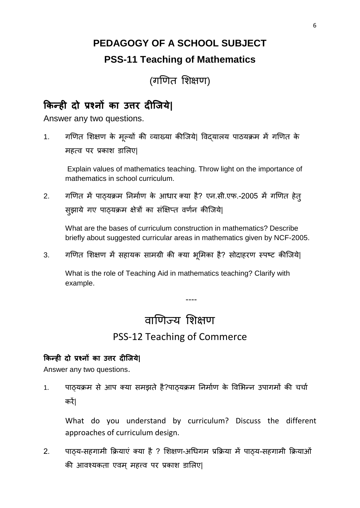# **PEDAGOGY OF A SCHOOL SUBJECT PSS-11 Teaching of Mathematics**

(गणित शिक्षण)

### **किन्ही दो प्रश्नों िा उत्तर दीजिये|**

Answer any two questions.

1. गणित शिक्षण के मूल्यों की व्याख्या कीजिये| विदयालय पाठयक्रम में गणित के महत्व पर प्रकाश डालिए|

Explain values of mathematics teaching. Throw light on the importance of mathematics in school curriculum.

2. गणित में पाठ्यक्रम निर्माण के आधार क्या है? एन.सी.एफ.-2005 में गणित हेत् सझाये गए पाठ्यक्रम क्षेत्रों का संक्षिप्त वर्णन कीजिये|

What are the bases of curriculum construction in mathematics? Describe briefly about suggested curricular areas in mathematics given by NCF-2005.

3. गणित शिक्षण में सहायक सामग्री की क्या भूमिका है? सोदाहरण स्पष्ट कीजिये|

What is the role of Teaching Aid in mathematics teaching? Clarify with example.

# वाणिज्य शिक्षण

----

### PSS-12 Teaching of Commerce

### **किन्ही दो प्रश्नों िा उत्तर दीजिये|**

Answer any two questions.

1. पाठयक्रम से आप क्या समझते है?पाठयक्रम निर्माण के विभिन्न उपागमों की चर्चा कयें|

What do you understand by curriculum? Discuss the different approaches of curriculum design.

2. पाठय-सहगामी क्रियाएं क्या है ? शिक्षण-अधिगम प्रक्रिया में पाठय-सहगामी क्रियाओं की आवश्यकता एवम महत्त्व पर प्रकाश डालिए|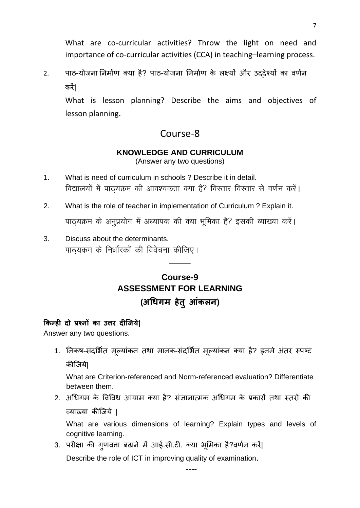What are co-curricular activities? Throw the light on need and importance of co-curricular activities (CCA) in teaching–learning process.

2. पाठ-योजना निर्माण क्या है? पाठ-योजना निर्माण के लक्ष्यों और उददेश्यों का वर्णन कयें|

What is lesson planning? Describe the aims and objectives of lesson planning.

### Course-8

### **KNOWLEDGE AND CURRICULUM**

(Answer any two questions)

- 1. What is need of curriculum in schools ? Describe it in detail. विद्यालयों में पाठयक्रम की आवश्यकता क्या है? विस्तार विस्तार से वर्णन करें।
- 2. What is the role of teacher in implementation of Curriculum ? Explain it. पाठ्यक्रम के अनुप्रयोग में अध्यापक की क्या भूमिका है? इसकी व्याख्या करें।
- 3. Discuss about the determinants. पाठयक्रम के निर्धारकों की विवेचना कीजिए।

### **Course-9 ASSESSMENT FOR LEARNING (अधिगम हेतु आंिऱन)**

 $\overline{\phantom{a}}$ 

### **किन्ही दो प्रश्नों िा उत्तर दीजिये|**

Answer any two questions.

1. निकष-संदर्भित मूल्यांकन तथा मानक-संदर्भित मूल्यांकन क्या है? इनमे अंतर स्पष्ट कीजिये|

What are Criterion-referenced and Norm-referenced evaluation? Differentiate between them.

2. अधिगम के विविध आयाम क्या है? संज्ञानात्मक अधिगम के प्रकारों तथा स्तरों की व्माख्मा कीजजमे |

What are various dimensions of learning? Explain types and levels of cognitive learning.

----

3. परीक्षा की गृणवत्ता बढ़ाने में आई.सी.टी. क्या भूमिका है?वर्णन करें|

Describe the role of ICT in improving quality of examination.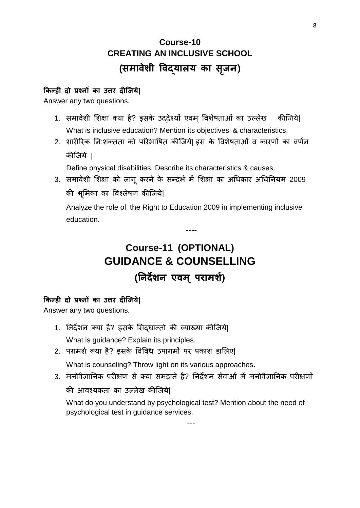# **Course-10 CREATING AN INCLUSIVE SCHOOL (समावेशी ववद्याऱय िा सि ृ न)**

### **किन्ही दो प्रश्नों िा उत्तर दीजिये|**

Answer any two questions.

- 1. समावेशी शिक्षा क्या है? इसके उददेश्यों एवम विशेषताओं का उल्लेख कीजिये| What is inclusive education? Mention its objectives & characteristics.
- 2. शारीरिक नि:शक्तता को परिभाषित कीजिये| इस के विशेषताओं व कारणों का वर्णन कीजिये ।

Define physical disabilities. Describe its characteristics & causes.

3. समावेशी शिक्षा को लागू करने के सन्दर्भ में शिक्षा का अधिकार अधिनियम 2009 की भूमिका का विश्लेषण कीजिये|

Analyze the role of the Right to Education 2009 in implementing inclusive education.

----

# **Course-11 (OPTIONAL) GUIDANCE & COUNSELLING (ननदेशन एवम ्परामश)श**

### **किन्ही दो प्रश्नों िा उत्तर दीजिये|**

Answer any two questions.

- 1. निर्देशन क्या है? इसके सिदधान्तो की व्याख्या कीजिये| What is guidance? Explain its principles.
- 2. परामर्श क्या है? इसके विविध उपागमों पर प्रकाश डालिए|

What is counseling? Throw light on its various approaches.

3. मनोवैज्ञानिक परीक्षण से क्या समझते है? निर्देशन सेवाओं में मनोवैज्ञानिक परीक्षणों

की आवश्यकता का उल्लेख कीजिये।

What do you understand by psychological test? Mention about the need of psychological test in guidance services.

---